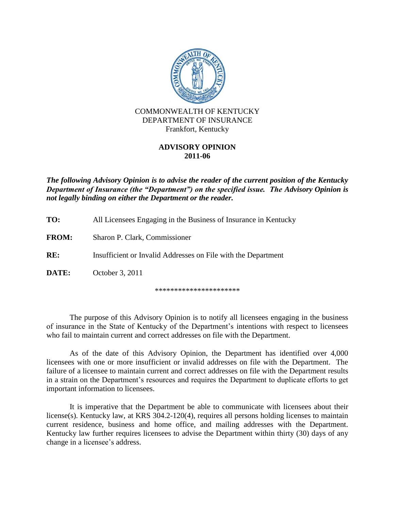

## **ADVISORY OPINION 2011-06**

*The following Advisory Opinion is to advise the reader of the current position of the Kentucky Department of Insurance (the "Department") on the specified issue. The Advisory Opinion is not legally binding on either the Department or the reader.*

| TO:          | All Licensees Engaging in the Business of Insurance in Kentucky |
|--------------|-----------------------------------------------------------------|
| <b>FROM:</b> | Sharon P. Clark, Commissioner                                   |
| RE:          | Insufficient or Invalid Addresses on File with the Department   |
| DATE:        | October 3, 2011                                                 |
|              |                                                                 |

\*\*\*\*\*\*\*\*\*\*\*\*\*\*\*\*\*\*\*\*\*\*

The purpose of this Advisory Opinion is to notify all licensees engaging in the business of insurance in the State of Kentucky of the Department's intentions with respect to licensees who fail to maintain current and correct addresses on file with the Department.

As of the date of this Advisory Opinion, the Department has identified over 4,000 licensees with one or more insufficient or invalid addresses on file with the Department. The failure of a licensee to maintain current and correct addresses on file with the Department results in a strain on the Department's resources and requires the Department to duplicate efforts to get important information to licensees.

It is imperative that the Department be able to communicate with licensees about their license(s). Kentucky law, at KRS 304.2-120(4), requires all persons holding licenses to maintain current residence, business and home office, and mailing addresses with the Department. Kentucky law further requires licensees to advise the Department within thirty (30) days of any change in a licensee's address.